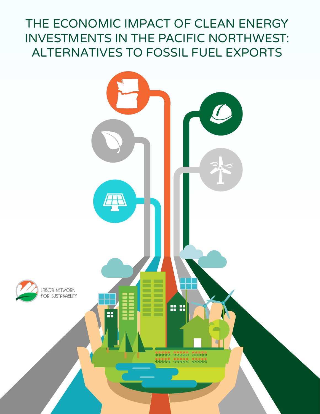# THE ECONOMIC IMPACT OF CLEAN ENERGY INVESTMENTS IN THE PACIFIC NORTHWEST: ALTERNATIVES TO FOSSIL FUEL EXPORTS

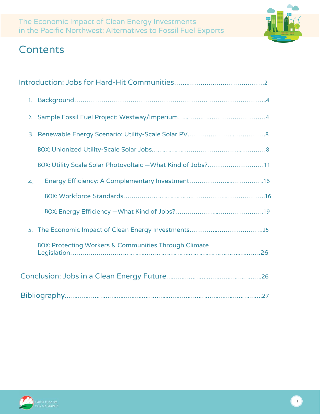

## **Contents**

| BOX: Utility Scale Solar Photovoltaic - What Kind of Jobs?11     |  |
|------------------------------------------------------------------|--|
| $\overline{4}$ .                                                 |  |
|                                                                  |  |
|                                                                  |  |
|                                                                  |  |
| <b>BOX: Protecting Workers &amp; Communities Through Climate</b> |  |
|                                                                  |  |
|                                                                  |  |

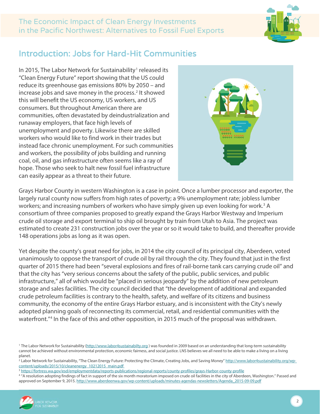

### <span id="page-2-0"></span>Introduction: Jobs for Hard-Hit Communities

In 20[1](#page-2-1)5, The Labor Network for Sustainability<sup>1</sup> released its "Clean Energy Future" report showing that the US could reduce its greenhouse gas emissions 80% by 2050 – and increase jobs and save money in the process.<sup>[2](#page-2-2)</sup> It showed this will benefit the US economy, US workers, and US consumers. But throughout American there are communities, often devastated by deindustrialization and runaway employers, that face high levels of unemployment and poverty. Likewise there are skilled workers who would like to find work in their trades but instead face chronic unemployment. For such communities and workers, the possibility of jobs building and running coal, oil, and gas infrastructure often seems like a ray of hope. Those who seek to halt new fossil fuel infrastructure can easily appear as a threat to their future.



Grays Harbor County in western Washington is a case in point. Once a lumber processor and exporter, the largely rural county now suffers from high rates of poverty; a 9% unemployment rate; jobless lumber workers; and increasing numbers of workers who have simply given up even looking for work.<sup>[3](#page-2-3)</sup> A consortium of three companies proposed to greatly expand the Grays Harbor Westway and Imperium crude oil storage and export terminal to ship oil brought by train from Utah to Asia. The project was estimated to create 231 construction jobs over the year or so it would take to build, and thereafter provide 148 operations jobs as long as it was open.

Yet despite the county's great need for jobs, in 2014 the city council of its principal city, Aberdeen, voted unanimously to oppose the transport of crude oil by rail through the city. They found that just in the first quarter of 2015 there had been "several explosions and fires of rail-borne tank cars carrying crude oil" and that the city has "very serious concerns about the safety of the public, public services, and public infrastructure," all of which would be "placed in serious jeopardy" by the addition of new petroleum storage and sales facilities. The city council decided that "the development of additional and expanded crude petroleum facilities is contrary to the health, safety, and welfare of its citizens and business community, the economy of the entire Grays Harbor estuary, and is inconsistent with the City's newly adopted planning goals of reconnecting its commercial, retail, and residential communities with the waterfront."<sup>4</sup> In the face of this and other opposition, in 2015 much of the proposal was withdrawn.

<span id="page-2-4"></span><span id="page-2-3"></span><sup>&</sup>lt;sup>3</sup> https://fortress.wa.gov/esd/employmentdata/reports-publications/regional-reports/county-profiles/grays-Harbor-county-profile<br><sup>4</sup> "A resolution adopting findings of fact in support of the six month moratorium imposed on approved on September 9, 2015. http://www.aberdeenwa.gov/wp-content/uploads/minutes-agendas-newsletters/Agenda\_2015-09-09.pdf



<span id="page-2-1"></span><sup>&</sup>lt;sup>1</sup> The Labor Network for Sustainability [\(http://www.labor4sustainabilty.org](http://www.labor4sustainabilty.org/)) was founded in 2009 based on an understanding that long-term sustainability cannot be achieved without environmental protection, economic fairness, and social justice. LNS believes we all need to be able to make a living on a living planet.<br><sup>2</sup> Labor Network for Sustainability, "The Clean Energy Future: Protecting the Climate, Creating Jobs, and Saving Money[" http://www.labor4sustainability.org/wp-](http://www.labor4sustainability.org/wp-%20content/uploads/2015/10/cleanenergy_10212015_main.pdf)

<span id="page-2-2"></span>[content/uploads/2015/10/cleanenergy\\_10212015\\_main.pdf](http://www.labor4sustainability.org/wp-%20content/uploads/2015/10/cleanenergy_10212015_main.pdf)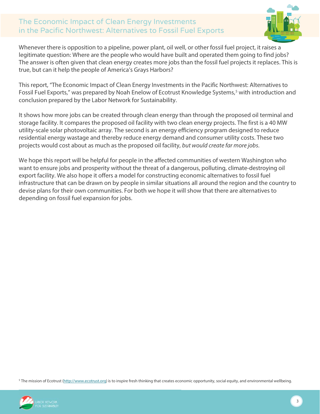

Whenever there is opposition to a pipeline, power plant, oil well, or other fossil fuel project, it raises a legitimate question: Where are the people who would have built and operated them going to find jobs? The answer is often given that clean energy creates more jobs than the fossil fuel projects it replaces. This is true, but can it help the people of America's Grays Harbors?

This report, "The Economic Impact of Clean Energy Investments in the Pacific Northwest: Alternatives to Fossil Fuel Exports," was prepared by Noah Enelow of Ecotrust Knowledge Systems, [5](#page-3-0) with introduction and conclusion prepared by the Labor Network for Sustainability.

It shows how more jobs can be created through clean energy than through the proposed oil terminal and storage facility. It compares the proposed oil facility with two clean energy projects. The first is a 40 MW utility-scale solar photovoltaic array. The second is an energy efficiency program designed to reduce residential energy wastage and thereby reduce energy demand and consumer utility costs. These two projects would cost about as much as the proposed oil facility, *but would create far more jobs*.

We hope this report will be helpful for people in the affected communities of western Washington who want to ensure jobs and prosperity without the threat of a dangerous, polluting, climate-destroying oil export facility. We also hope it offers a model for constructing economic alternatives to fossil fuel infrastructure that can be drawn on by people in similar situations all around the region and the country to devise plans for their own communities. For both we hope it will show that there are alternatives to depending on fossil fuel expansion for jobs.

<span id="page-3-0"></span><sup>5</sup> The mission of Ecotrust [\(http://www.ecotrust.org\)](http://www.ecotrust.org/) is to inspire fresh thinking that creates economic opportunity, social equity, and environmental wellbeing.

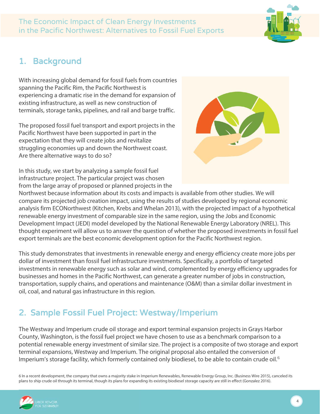

### <span id="page-4-0"></span>1. Background

With increasing global demand for fossil fuels from countries spanning the Pacific Rim, the Pacific Northwest is experiencing a dramatic rise in the demand for expansion of existing infrastructure, as well as new construction of terminals, storage tanks, pipelines, and rail and barge traffic.

The proposed fossil fuel transport and export projects in the Pacific Northwest have been supported in part in the expectation that they will create jobs and revitalize struggling economies up and down the Northwest coast. Are there alternative ways to do so?



In this study, we start by analyzing a sample fossil fuel infrastructure project. The particular project was chosen from the large array of proposed or planned projects in the

Northwest because information about its costs and impacts is available from other studies. We will compare its projected job creation impact, using the results of studies developed by regional economic analysis firm ECONorthwest (Kitchen, Krebs and Whelan 2013), with the projected impact of a hypothetical renewable energy investment of comparable size in the same region, using the Jobs and Economic Development Impact (JEDI) model developed by the National Renewable Energy Laboratory (NREL). This thought experiment will allow us to answer the question of whether the proposed investments in fossil fuel export terminals are the best economic development option for the Pacific Northwest region.

This study demonstrates that investments in renewable energy and energy efficiency create more jobs per dollar of investment than fossil fuel infrastructure investments. Specifically, a portfolio of targeted investments in renewable energy such as solar and wind, complemented by energy efficiency upgrades for businesses and homes in the Pacific Northwest, can generate a greater number of jobs in construction, transportation, supply chains, and operations and maintenance (O&M) than a similar dollar investment in oil, coal, and natural gas infrastructure in this region.

## <span id="page-4-1"></span>2. Sample Fossil Fuel Project: Westway/Imperium

The Westway and Imperium crude oil storage and export terminal expansion projects in Grays Harbor County, Washington, is the fossil fuel project we have chosen to use as a benchmark comparison to a potential renewable energy investment of similar size. The project is a composite of two storage and export terminal expansions, Westway and Imperium. The original proposal also entailed the conversion of Imperium's storage facility, which formerly contained only biodiesel, to be able to contain crude oil.<sup>[6](#page-4-2)</sup>

<span id="page-4-2"></span>6 In a recent development, the company that owns a majority stake in Imperium Renewables, Renewable Energy Group, Inc. (Business Wire 2015), canceled its plans to ship crude oil through its terminal, though its plans for expanding its existing biodiesel storage capacity are still in effect (Gonzalez 2016).

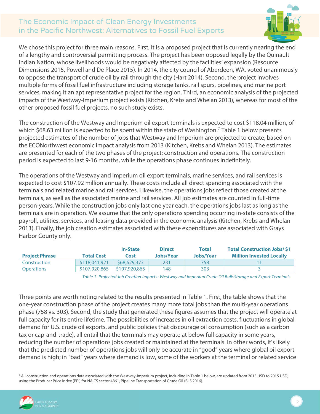

We chose this project for three main reasons. First, it is a proposed project that is currently nearing the end of a lengthy and controversial permitting process. The project has been opposed legally by the Quinault Indian Nation, whose livelihoods would be negatively affected by the facilities' expansion (Resource Dimensions 2015, Powell and De Place 2015). In 2014, the city council of Aberdeen, WA, voted unanimously to oppose the transport of crude oil by rail through the city (Hart 2014). Second, the project involves multiple forms of fossil fuel infrastructure including storage tanks, rail spurs, pipelines, and marine port services, making it an apt representative project for the region. Third, an economic analysis of the projected impacts of the Westway-Imperium project exists (Kitchen, Krebs and Whelan 2013), whereas for most of the other proposed fossil fuel projects, no such study exists.

The construction of the Westway and Imperium oil export terminals is expected to cost \$118.04 million, of which \$68.63 million is expected to be spent within the state of Washington.<sup>[7](#page-5-0)</sup> Table 1 below presents projected estimates of the number of jobs that Westway and Imperium are projected to create, based on the ECONorthwest economic impact analysis from 2013 (Kitchen, Krebs and Whelan 2013). The estimates are presented for each of the two phases of the project: construction and operations. The construction period is expected to last 9-16 months, while the operations phase continues indefinitely.

The operations of the Westway and Imperium oil export terminals, marine services, and rail services is expected to cost \$107.92 million annually. These costs include all direct spending associated with the terminals and related marine and rail services. Likewise, the operations jobs reflect those created at the terminals, as well as the associated marine and rail services. All job estimates are counted in full-time person-years. While the construction jobs only last one year each, the operations jobs last as long as the terminals are in operation. We assume that the only operations spending occurring in-state consists of the payroll, utilities, services, and leasing data provided in the economic analysis (Kitchen, Krebs and Whelan 2013). Finally, the job creation estimates associated with these expenditures are associated with Grays Harbor County only.

| <b>Total Cost</b><br><b>Project Phrase</b> | Cost          | Jobs/Year | Jobs/Year | <b>Million Invested Locally</b> |
|--------------------------------------------|---------------|-----------|-----------|---------------------------------|
| \$118,041,921<br>Construction              | \$68,629,373  | 231       | 758       |                                 |
| \$107,920,865<br><b>Operations</b>         | \$107,920,865 | 148       | 303       |                                 |

*Table 1. Projected Job Creation Impacts: Westway and Imperium Crude Oil Bulk Storage and Export Terminals*

Three points are worth noting related to the results presented in Table 1. First, the table shows that the one-year construction phase of the project creates many more total jobs than the multi-year operations phase (758 vs. 303). Second, the study that generated these figures assumes that the project will operate at full capacity for its entire lifetime. The possibilities of increases in oil extraction costs, fluctuations in global demand for U.S. crude oil exports, and public policies that discourage oil consumption (such as a carbon tax or cap-and-trade), all entail that the terminals may operate at below full capacity in some years, reducing the number of operations jobs created or maintained at the terminals. In other words, it's likely that the predicted number of operations jobs will only be accurate in "good" years where global oil export demand is high; in "bad" years where demand is low, some of the workers at the terminal or related service

<span id="page-5-0"></span><sup>7</sup> All construction and operations data associated with the Westway-Imperium project, including in Table 1 below, are updated from 2013 USD to 2015 USD, using the Producer Price Index (PPI) for NAICS sector 4861, Pipeline Transportation of Crude Oil (BLS 2016).

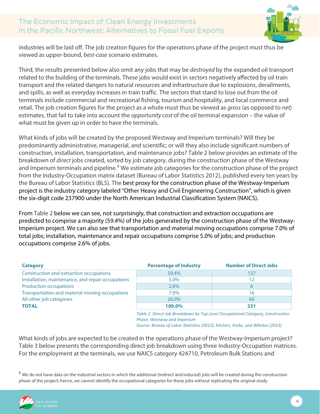

industries will be laid off. The job creation figures for the operations phase of the project must thus be viewed as upper-bound, *best-case* scenario estimates.

Third, the results presented below also omit any jobs that may be *destroyed* by the expanded oil transport related to the building of the terminals. These jobs would exist in sectors negatively affected by oil train transport and the related dangers to natural resources and infrastructure due to explosions, derailments, and spills, as well as everyday increases in train traffic. The sectors that stand to lose out from the oil terminals include commercial and recreational fishing, tourism and hospitality, and local commerce and retail. The job creation figures for the project as a whole must thus be viewed as *gross* (as opposed to *net*) estimates, that fail to take into account the *opportunity cost* of the oil terminal expansion – the value of what must be given up in order to have the terminals.

What kinds of jobs will be created by the proposed Westway and Imperium terminals? Will they be predominantly administrative, managerial, and scientific; or will they also include significant numbers of construction, installation, transportation, and maintenance jobs? Table 2 below provides an estimate of the breakdown of *direct* jobs created, sorted by job category, during the construction phase of the Westway and Imperium terminals and pipeline.<sup>[8](#page-6-0)</sup> We estimate job categories for the construction phase of the project from the Industry-Occupation matrix dataset (Bureau of Labor Statistics 2012), published every ten years by the Bureau of Labor Statistics (BLS). The best proxy for the construction phase of the Westway-Imperium project is the industry category labeled "Other Heavy and Civil Engineering Construction", which is given the six-digit code 237900 under the North American Industrial Classification System (NAICS).

From Table 2 below we can see, not surprisingly, that construction and extraction occupations are predicted to comprise a majority (59.4%) of the jobs generated by the construction phase of the Westway-Imperium project. We can also see that transportation and material moving occupations comprise 7.0% of total jobs; installation, maintenance and repair occupations comprise 5.0% of jobs; and production occupations comprise 2.6% of jobs.

| <b>Category</b>                                   | <b>Percentage of Industry</b> | <b>Number of Direct Jobs</b> |
|---------------------------------------------------|-------------------------------|------------------------------|
| Construction and extraction occupations           | 59.4%                         | 137                          |
| Installation, maintenance, and repair occupations | 5.0%                          |                              |
| <b>Production occupations</b>                     | 2.6%                          | h                            |
| Transportation and material moving occupations    | 7.0%                          | 16                           |
| All other job categories                          | 26.0%                         | 60                           |
| <b>TOTAL</b>                                      | 100.0%                        | 231                          |
|                                                   |                               |                              |

*Table 2. Direct Job Breakdown by Top Level Occupational Category, Construction Phase, Westway and Imperium*

*Source: Bureau of Labor Statistics (2012); Kitchen, Krebs, and Whelan (2013)*

What kinds of jobs are expected to be created in the operations phase of the Westway-Imperium project? Table 3 below presents the corresponding direct job breakdown using three Industry-Occupation matrices. For the employment at the terminals, we use NAICS category 424710, Petroleum Bulk Stations and

<span id="page-6-0"></span> $8$  We do not have data on the industrial sectors in which the additional (indirect and induced) jobs will be created during the construction phase of the project; hence, we cannot identify the occupational categories for these jobs without replicating the original study.

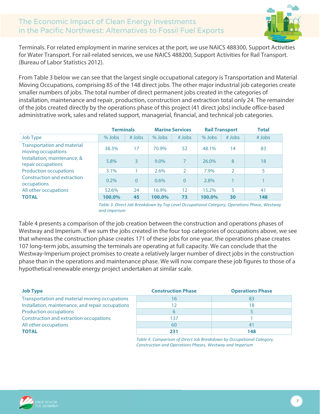

Terminals. For related employment in marine services at the port, we use NAICS 488300, Support Activities for Water Transport. For rail-related services, we use NAICS 488200, Support Activities for Rail Transport. (Bureau of Labor Statistics 2012).

From Table 3 below we can see that the largest single occupational category is Transportation and Material Moving Occupations, comprising 85 of the 148 direct jobs. The other major industrial job categories create smaller numbers of jobs. The total number of direct permanent jobs created in the categories of installation, maintenance and repair, production, construction and extraction total only 24. The remainder of the jobs created directly by the operations phase of this project (41 direct jobs) include office-based administrative work, sales and related support, managerial, financial, and technical job categories.

|                                                          | <b>Terminals</b> |          | <b>Marine Services</b> |          | <b>Rail Transport</b> |          |          |  | <b>Total</b> |
|----------------------------------------------------------|------------------|----------|------------------------|----------|-----------------------|----------|----------|--|--------------|
| Job Type                                                 | $%$ Jobs         | $#$ Jobs | $%$ Jobs               | $#$ Jobs | $%$ Jobs              | $#$ Jobs | $#$ Jobs |  |              |
| <b>Transportation and material</b><br>moving occupations | 38.3%            | 17       | 70.9%                  | 52       | 48.1%                 | 14       | 83       |  |              |
| Installation, maintenance, &<br>repair occupations       | 5.8%             | 3        | $9.0\%$                |          | 26.0%                 | 8        | 18       |  |              |
| <b>Production occupations</b>                            | 3.1%             |          | 2.6%                   | C        | 7.9%                  | 2        | 5        |  |              |
| Construction and extraction<br>occupations               | 0.2%             | $\Omega$ | $0.6\%$                | $\Omega$ | 2.8%                  |          |          |  |              |
| All other occupations                                    | 52.6%            | 24       | 16.9%                  | 12       | 15.2%                 | 5        | 41       |  |              |
| <b>TOTAL</b>                                             | 100.0%           | 45       | 100.0%                 | 73       | 100.0%                | 30       | 148      |  |              |

*Table 3. Direct Job Breakdown by Top Level Occupational Category, Operations Phase, Westway and Imperium*

Table 4 presents a comparison of the job creation between the construction and operations phases of Westway and Imperium. If we sum the jobs created in the four top categories of occupations above, we see that whereas the construction phase creates 171 of these jobs for one year, the operations phase creates 107 long-term jobs, assuming the terminals are operating at full capacity. We can conclude that the Westway-Imperium project promises to create a relatively larger number of direct jobs in the construction phase than in the operations and maintenance phase. We will now compare these job figures to those of a hypothetical renewable energy project undertaken at similar scale.

| <b>Job Type</b>                                   | <b>Construction Phase</b> | <b>Operations Phase</b> |
|---------------------------------------------------|---------------------------|-------------------------|
| Transportation and material moving occupations    | 16                        | 83                      |
| Installation, maintenance, and repair occupations |                           | 18                      |
| <b>Production occupations</b>                     | b                         |                         |
| Construction and extraction occupations           | 137                       |                         |
| All other occupations                             | 60                        | 41                      |
| <b>TOTAL</b>                                      | 231                       | 148                     |

*Table 4. Comparison of Direct Job Breakdown by Occupational Category, Construction and Operations Phases, Westway and Imperium*

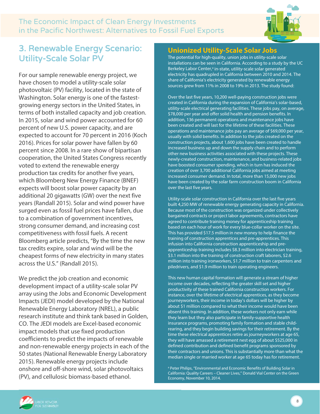

### <span id="page-8-0"></span>3. Renewable Energy Scenario: Utility-Scale Solar PV

For our sample renewable energy project, we have chosen to model a utility-scale solar photovoltaic (PV) facility, located in the state of Washington. Solar energy is one of the fastestgrowing energy sectors in the United States, in terms of both installed capacity and job creation. In 2015, solar and wind power accounted for 60 percent of new U.S. power capacity, and are expected to account for 70 percent in 2016 (Koch 2016). Prices for solar power have fallen by 60 percent since 2008. In a rare show of bipartisan cooperation, the United States Congress recently voted to extend the renewable energy production tax credits for another five years, which Bloomberg New Energy Finance (BNEF) expects will boost solar power capacity by an additional 20 gigawatts (GW) over the next five years (Randall 2015). Solar and wind power have surged even as fossil fuel prices have fallen, due to a combination of government incentives, strong consumer demand, and increasing cost competitiveness with fossil fuels. A recent Bloomberg article predicts, "By the time the new tax credits expire, solar and wind will be the cheapest forms of new electricity in many states across the U.S." (Randall 2015).

We predict the job creation and economic development impact of a utility-scale solar PV array using the Jobs and Economic Development Impacts (JEDI) model developed by the National Renewable Energy Laboratory (NREL), a public research institute and think tank based in Golden, CO. The JEDI models are Excel-based economic impact models that use fixed production coefficients to predict the impacts of renewable and non-renewable energy projects in each of the 50 states (National Renewable Energy Laboratory 2015). Renewable energy projects include onshore and off-shore wind, solar photovoltaics (PV), and cellulosic biomass-based ethanol.

#### **Unionized Utility-Scale Solar Jobs**

The potential for high-quality, union jobs in utility-scale solar installations can be seen in California. According to a study by the UC Berkeley Labor Center,<sup>a</sup> in-state, utility-scale solar generated electricity has quadrupled in California between 2010 and 2014. The share of California's electricity generated by renewable energy sources grew from 11% in 2008 to 19% in 2013. The study found:

Over the last five years, 10,200 well-paying construction jobs were created in California during the expansion of California's solar-based, utility-scale electrical generating facilities. These jobs pay, on average, \$78,000 per year and offer solid health and pension benefits. In addition, 136 permanent operations and maintenance jobs have been created and will last for the lifetime of these facilities. These operations and maintenance jobs pay an average of \$69,000 per year, usually with solid benefits. In addition to the jobs created on the construction projects, about 1,600 jobs have been created to handle increased business up and down the supply chain and to perform other new business activities associated with these projects. These newly-created construction, maintenance, and business-related jobs have boosted consumer spending, which in turn has induced the creation of over 3,700 additional California jobs aimed at meeting increased consumer demand. In total, more than 15,000 new jobs have been created by the solar farm construction boom in California over the last five years.

Utility-scale solar construction in California over the last five years built 4,250 MW of renewable energy generating capacity in California. Because most of the construction was organized under collectively bargained contracts or project labor agreements, contractors have agreed to contribute training money for apprenticeship training based on each hour of work for every blue-collar worker on the site. This has provided \$17.5 million in new money to help finance the training of construction apprentices and pre-apprentices. This infusion into California construction apprenticeship and preapprenticeship training includes \$8.3 million into electrician training, \$3.1 million into the training of construction craft laborers, \$2.6 million into training ironworkers, \$1.7 million to train carpenters and piledrivers, and \$1.9 million to train operating engineers.

This new human capital formation will generate a stream of higher income over decades, reflecting the greater skill set and higher productivity of these trained California construction workers. For instance, over the lifetime of electrical apprentices, as they become journeyworkers, their income in today's dollars will be higher by about \$1 million compared to what their income would have been absent this training. In addition, these workers not only earn while they learn but they also participate in family-supportive health insurance programs, promoting family formation and stable childrearing, and they begin building savings for their retirement. By the time these electrical apprentices retire as journeyworkers at age 65, they will have amassed a retirement nest egg of about \$525,000 in defined contribution and defined benefit programs sponsored by their contractors and unions. This is substantially more than what the median single or married worker at age 65 today has for retirement.

<sup>a</sup> Peter Philips, "Environmental and Economic Benefits of Building Solar in California: Quality Careers – Cleaner Lives," Donald Vial Center on the Green Economy, November 10, 2014.

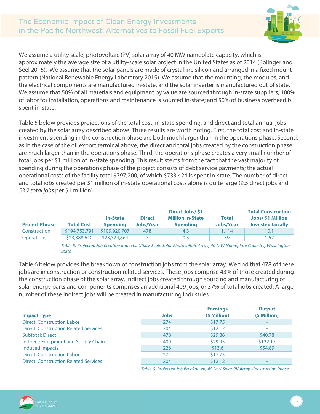

We assume a utility scale, photovoltaic (PV) solar array of 40 MW nameplate capacity, which is approximately the average size of a utility-scale solar project in the United States as of 2014 (Bolinger and Seel 2015). We assume that the solar panels are made of crystalline silicon and arranged in a fixed mount pattern (National Renewable Energy Laboratory 2015). We assume that the mounting, the modules, and the electrical components are manufactured in-state, and the solar inverter is manufactured out of state. We assume that 50% of all materials and equipment by value are sourced through in-state suppliers; 100% of labor for installation, operations and maintenance is sourced in-state; and 50% of business overhead is spent in-state.

[Table](#page-9-0) 5 below provides projections of the total cost, in-state spending, and direct and total annual jobs created by the solar array described above. Three results are worth noting. First, the total cost and in-state investment spending in the construction phase are both much larger than in the operations phase. Second, as in the case of the oil export terminal above, the direct and total jobs created by the construction phase are much larger than in the operations phase. Third, the operations phase creates a very small number of total jobs per \$1 million of in-state spending. This result stems from the fact that the vast majority of spending during the operations phase of the project consists of debt service payments; the actual operational costs of the facility total \$797,200, of which \$733,424 is spent in-state. The number of direct and total jobs created per \$1 million of in-state operational costs alone is quite large (9.5 direct jobs and *53.2 total jobs* per \$1 million).

| <b>Project Phrase</b>                                                                                                 | <b>Total Cost</b> | <b>In-State</b><br><b>Spending</b> | <b>Direct</b><br><b>Jobs/Year</b> | <b>Direct Jobs/S1</b><br><b>Million In-State</b><br><b>Spending</b> | <b>Total</b><br><b>Jobs/Year</b> | <b>Total Construction</b><br><b>Jobs/\$1 Million</b><br><b>Invested Locally</b> |
|-----------------------------------------------------------------------------------------------------------------------|-------------------|------------------------------------|-----------------------------------|---------------------------------------------------------------------|----------------------------------|---------------------------------------------------------------------------------|
|                                                                                                                       |                   |                                    |                                   |                                                                     |                                  |                                                                                 |
| Construction                                                                                                          | \$194,753,791     | \$109,920,707                      | 478                               | 4.3                                                                 | 1.114                            | 10.1                                                                            |
| <b>Operations</b>                                                                                                     | \$23,388,640      | \$23,324,864                       |                                   | 0.3                                                                 | 39                               | 1.67                                                                            |
| Table E. Droicated Jah Creation Impacts: Utility Coale Color Dhatovaltais Arrow 10 MMI Nameablete Canacity Machinaton |                   |                                    |                                   |                                                                     |                                  |                                                                                 |

*Table 5. Projected Job Creation Impacts: Utility-Scale Solar Photovoltaic Array, 40 MW Nameplate Capacity, Washington State*

<span id="page-9-0"></span>[Table](#page-9-1) 6 below provides the breakdown of construction jobs from the solar array. We find that 478 of these jobs are in construction or construction related services. These jobs comprise 43% of those created during the construction phase of the solar array. Indirect jobs created through sourcing and manufacturing of solar energy parts and components comprises an additional 409 jobs, or 37% of total jobs created. A large number of these indirect jobs will be created in manufacturing industries.

| <b>Impact Type</b>                           | <b>Jobs</b> | <b>Earnings</b><br>(\$ Million) | <b>Output</b><br>(\$ Million) |
|----------------------------------------------|-------------|---------------------------------|-------------------------------|
| <b>Direct: Construction Labor</b>            | 274         | \$17.75                         |                               |
| <b>Direct: Construction Related Services</b> | 204         | \$12.12                         |                               |
| <b>Subtotal: Direct</b>                      | 478         | \$29.86                         | \$40.78                       |
| Indirect: Equipment and Supply Chain         | 409         | \$29.95                         | \$122.17                      |
| <b>Induced Impacts</b>                       | 226         | \$13.6                          | \$54.89                       |
| <b>Direct: Construction Labor</b>            | 274         | \$17.75                         |                               |
| <b>Direct: Construction Related Services</b> | 204         | \$12.12                         |                               |

*Table 6. Projected Job Breakdown, 40 MW Solar PV Array, Construction Phase*

<span id="page-9-1"></span>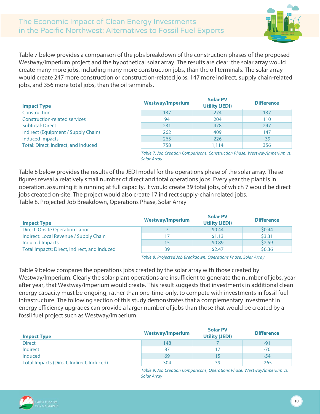

[Table](#page-10-0) 7 below provides a comparison of the jobs breakdown of the construction phases of the proposed Westway/Imperium project and the hypothetical solar array. The results are clear: the solar array would create many more jobs, including many more construction jobs, than the oil terminals. The solar array would create 247 more construction or construction-related jobs, 147 more indirect, supply chain-related jobs, and 356 more total jobs, than the oil terminals.

| <b>Impact Type</b>                   | <b>Westway/Imperium</b> | <b>Solar PV</b><br><b>Utility (JEDI)</b> | <b>Difference</b> |
|--------------------------------------|-------------------------|------------------------------------------|-------------------|
| Construction                         | 137                     | 274                                      | 137               |
| Construction-related services        | 94                      | 204                                      | 110               |
| <b>Subtotal: Direct</b>              | 231                     | 478                                      | 247               |
| Indirect (Equipment / Supply Chain)  | 262                     | 409                                      | 147               |
| <b>Induced Impacts</b>               | 265                     | 226                                      | $-39$             |
| Total: Direct, Indirect, and Induced | 758                     | 1.114                                    | 356               |

*Table 7. Job Creation Comparisons, Construction Phase, Westway/Imperium vs. Solar Array*

<span id="page-10-0"></span>[Table](#page-10-1) 8 below provides the results of the JEDI model for the operations phase of the solar array. These figures reveal a relatively small number of direct and total operations jobs. Every year the plant is in operation, assuming it is running at full capacity, it would create 39 total jobs, of which 7 would be direct jobs created on-site. The project would also create 17 indirect supply-chain related jobs. Table 8. Projected Job Breakdown, Operations Phase, Solar Array

<span id="page-10-1"></span>

| <b>Impact Type</b>                           | <b>Westway/Imperium</b> | <b>Solar PV</b><br><b>Utility (JEDI)</b> | <b>Difference</b> |
|----------------------------------------------|-------------------------|------------------------------------------|-------------------|
| <b>Direct: Onsite Operation Labor</b>        |                         | \$0.44                                   | \$0.44            |
| Indirect: Local Revenue / Supply Chain       | 17                      | \$1.13                                   | \$3.31            |
| Induced Impacts                              | 15                      | \$0.89                                   | \$2.59            |
| Total Impacts: Direct, Indirect, and Induced | 39                      | \$2.47                                   | \$6.36            |

*Table 8. Projected Job Breakdown, Operations Phase, Solar Array*

[Table](#page-10-2) 9 below compares the operations jobs created by the solar array with those created by Westway/Imperium. Clearly the solar plant operations are insufficient to generate the number of jobs, year after year, that Westway/Imperium would create. This result suggests that investments in additional clean energy capacity must be ongoing, rather than one-time-only, to compete with investments in fossil fuel infrastructure. The following section of this study demonstrates that a complementary investment in energy efficiency upgrades can provide a larger number of jobs than those that would be created by a fossil fuel project such as Westway/Imperium.

| <b>Impact Type</b>                        | <b>Westway/Imperium</b> | <b>Solar PV</b><br><b>Utility (JEDI)</b> | <b>Difference</b> |
|-------------------------------------------|-------------------------|------------------------------------------|-------------------|
| <b>Direct</b>                             | 148                     |                                          | $-91$             |
| Indirect                                  | 87                      |                                          | $-70$             |
| Induced                                   | 69                      | 15                                       | $-54$             |
| Total Impacts (Direct, Indirect, Induced) | 304                     | 39                                       | $-265$            |

*Table 9. Job Creation Comparisons, Operations Phase, Westway/Imperium vs. Solar Array*

<span id="page-10-2"></span>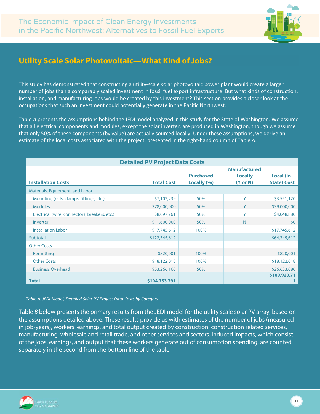

### <span id="page-11-0"></span>**Utility Scale Solar Photovoltaic—What Kind of Jobs?**

This study has demonstrated that constructing a utility-scale solar photovoltaic power plant would create a larger number of jobs than a comparably scaled investment in fossil fuel export infrastructure. But what kinds of construction, installation, and manufacturing jobs would be created by this investment? This section provides a closer look at the occupations that such an investment could potentially generate in the Pacific Northwest.

Table *A* presents the assumptions behind the JEDI model analyzed in this study for the State of Washington. We assume that all electrical components and modules, except the solar inverter, are produced in Washington, though we assume that only 50% of these components (by value) are actually sourced locally. Under these assumptions, we derive an estimate of the local costs associated with the project, presented in the right-hand column of Table *A*.

| <b>Detailed PV Project Data Costs</b>         |                   |                                 |                                                              |                                  |  |  |  |
|-----------------------------------------------|-------------------|---------------------------------|--------------------------------------------------------------|----------------------------------|--|--|--|
| <b>Installation Costs</b>                     | <b>Total Cost</b> | <b>Purchased</b><br>Locally (%) | <b>Manufactured</b><br><b>Locally</b><br>$(Y \text{ or } N)$ | Local (In-<br><b>State) Cost</b> |  |  |  |
| Materials, Equipment, and Labor               |                   |                                 |                                                              |                                  |  |  |  |
| Mounting (rails, clamps, fittings, etc.)      | \$7,102,239       | 50%                             | Y                                                            | \$3,551,120                      |  |  |  |
| <b>Modules</b>                                | \$78,000,000      | 50%                             | Y                                                            | \$39,000,000                     |  |  |  |
| Electrical (wire, connectors, breakers, etc.) | \$8,097,761       | 50%                             | Y                                                            | \$4,048,880                      |  |  |  |
| Inverter                                      | \$11,600,000      | 50%                             | N.                                                           | 50                               |  |  |  |
| <b>Installation Labor</b>                     | \$17,745,612      | 100%                            |                                                              | \$17,745,612                     |  |  |  |
| Subtotal                                      | \$122,545,612     |                                 |                                                              | \$64,345,612                     |  |  |  |
| <b>Other Costs</b>                            |                   |                                 |                                                              |                                  |  |  |  |
| Permitting                                    | \$820,001         | 100%                            |                                                              | \$820,001                        |  |  |  |
| <b>Other Costs</b>                            | \$18,122,018      | 100%                            |                                                              | \$18,122,018                     |  |  |  |
| <b>Business Overhead</b>                      | \$53,266,160      | 50%                             |                                                              | \$26,633,080                     |  |  |  |
| <b>Total</b>                                  | \$194,753,791     |                                 |                                                              | \$109,920,71                     |  |  |  |

*Table A. JEDI Model, Detailed Solar PV Project Data Costs by Category*

Table *B* below presents the primary results from the JEDI model for the utility scale solar PV array, based on the assumptions detailed above. These results provide us with estimates of the number of jobs (measured in job-years), workers' earnings, and total output created by construction, construction related services, manufacturing, wholesale and retail trade, and other services and sectors. Induced impacts, which consist of the jobs, earnings, and output that these workers generate out of consumption spending, are counted separately in the second from the bottom line of the table.

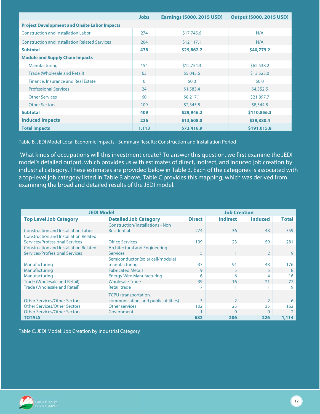|                                                       | <b>Jobs</b>  | <b>Earnings (\$000, 2015 USD)</b> | <b>Output (\$000, 2015 USD)</b> |
|-------------------------------------------------------|--------------|-----------------------------------|---------------------------------|
| <b>Project Development and Onsite Labor Impacts</b>   |              |                                   |                                 |
| <b>Construction and Installation Labor</b>            | 274          | \$17,745.6                        | N/A                             |
| <b>Construction and Installation Related Services</b> | 204          | \$12,117.1                        | N/A                             |
| <b>Subtotal</b>                                       | 478          | \$29,862.7                        | \$40,779.2                      |
| <b>Module and Supply Chain Impacts</b>                |              |                                   |                                 |
| Manufacturing                                         | 154          | \$12,754.3                        | \$62,538.2                      |
| Trade (Wholesale and Retail)                          | 63           | \$5,045.6                         | \$13,523.0                      |
| Finance, Insurance and Real Estate                    | $\mathbf{0}$ | 50.0                              | 50.0                            |
| <b>Professional Services</b>                          | 24           | \$1,583.4                         | \$4,352.5                       |
| <b>Other Services</b>                                 | 60           | \$8,217.1                         | \$21,897.7                      |
| <b>Other Sectors</b>                                  | 109          | \$2,345.8                         | \$8,544.8                       |
| <b>Subtotal</b>                                       | 409          | \$29,946.2                        | \$110,856.3                     |
| <b>Induced Impacts</b>                                | 226          | \$13,608.0                        | \$39,380.4                      |
| <b>Total Impacts</b>                                  | 1,113        | \$73,416.9                        | \$191,015.8                     |

Table B. JEDI Model Local Economic Impacts - Summary Results: Construction and Installation Period

What kinds of occupations will this investment create? To answer this question, we first examine the JEDI model's detailed output, which provides us with estimates of direct, indirect, and induced job creation by industrial category. These estimates are provided below in Table 3. Each of the categories is associated with a top-level job category listed in Table B above; Table C provides this mapping, which was derived from examining the broad and detailed results of the JEDI model.

| <b>JEDI Model</b>                            |                                         | <b>Job Creation</b> |                                   |                |       |
|----------------------------------------------|-----------------------------------------|---------------------|-----------------------------------|----------------|-------|
| <b>Top Level Job Category</b>                | <b>Detailed Job Category</b>            | <b>Direct</b>       | <b>Induced</b><br><b>Indirect</b> |                |       |
|                                              | <b>Construction/Installations - Non</b> |                     |                                   |                |       |
| <b>Construction and Installation Labor</b>   | <b>Residential</b>                      | 274                 | 36                                | 48             | 359   |
| <b>Construction and Installation Related</b> |                                         |                     |                                   |                |       |
| Services/Professional Services               | <b>Office Services</b>                  | 199                 | 23                                | 59             | 281   |
| <b>Construction and Installation Related</b> | <b>Architectural and Engineering</b>    |                     |                                   |                |       |
| <b>Services/Professional Services</b>        | <b>Services</b>                         | 5                   | 1                                 | $\mathcal{P}$  | 9     |
|                                              | Semiconductor (solar cell/module)       |                     |                                   |                |       |
| Manufacturing                                | manufacturing                           | 37                  | 91                                | 48             | 176   |
| Manufacturing                                | <b>Fabricated Metals</b>                | 9                   | 5                                 |                | 18    |
| Manufacturing                                | <b>Energy Wire Manufacturing</b>        | 6                   | 6                                 |                | 16    |
| <b>Trade (Wholesale and Retail)</b>          | <b>Wholesale Trade</b>                  | 39                  | 16                                | 21             | 77    |
| Trade (Wholesale and Retail)                 | Retail trade                            |                     |                                   |                | 9     |
|                                              | <b>TCPU</b> (transportation,            |                     |                                   |                |       |
| <b>Other Services/Other Sectors</b>          | communication, and public utilities)    | 3                   | $\overline{2}$                    | $\overline{2}$ | 6     |
| <b>Other Services/Other Sectors</b>          | Other services                          | 102                 | 25                                | 35             | 162   |
| <b>Other Services/Other Sectors</b>          | Government                              |                     | $\mathbf{0}$                      | 0              |       |
| <b>TOTALS</b>                                |                                         | 682                 | 206                               | 226            | 1,114 |

Table C. JEDI Model: Job Creation by Industrial Category

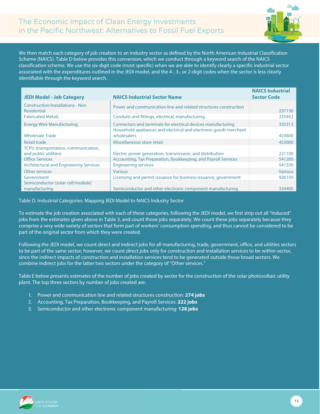

We then match each category of job creation to an industry sector as defined by the North American Industrial Classification Scheme (NAICS). Table D below provides this conversion, which we conduct through a keyword search of the NAICS classification scheme. We use the six-digit code (most specific) when we are able to identify clearly a specific industrial sector associated with the expenditures outlined in the JEDI model, and the 4-, 3-, or 2-digit codes when the sector is less clearly identifiable through the keyword search.

| <b>JEDI Model - Job Category</b>                              | <b>NAICS Industrial Sector Name</b>                                                                                                | <b>NAICS Industrial</b><br><b>Sector Code</b> |
|---------------------------------------------------------------|------------------------------------------------------------------------------------------------------------------------------------|-----------------------------------------------|
| <b>Construction/Installations - Non</b><br><b>Residential</b> | Power and communication line and related structures construction                                                                   | 237130                                        |
| <b>Fabricated Metals</b>                                      | Conduits and fittings, electrical, manufacturing                                                                                   | 335932                                        |
| <b>Energy Wire Manufacturing</b>                              | Connectors and terminals for electrical devices manufacturing<br>Household appliances and electrical and electronic goods merchant | 335313                                        |
| <b>Wholesale Trade</b>                                        | wholesalers                                                                                                                        | 423600                                        |
| Retail trade                                                  | Miscellaneous store retail                                                                                                         | 453000                                        |
| TCPU (transportation, communication,<br>and public utilities) | Electric power generation, transmission, and distribution                                                                          | 221100                                        |
| <b>Office Services</b>                                        | Accounting, Tax Preparation, Bookkeeping, and Payroll Services                                                                     | 541200                                        |
| <b>Architectural and Engineering Services</b>                 | <b>Engineering services</b>                                                                                                        | 541330                                        |
| Other services                                                | <b>Various</b>                                                                                                                     | <b>Various</b>                                |
| Government                                                    | Licensing and permit issuance for business issuance, government                                                                    | 926150                                        |
| Semiconductor (solar cell/module)<br>manufacturing            | Semiconductor and other electronic component manufacturing                                                                         | 334400                                        |

Table D. Industrial Categories: Mapping JEDI Model to NAICS Industry Sector

To estimate the job creation associated with each of these categories, following the JEDI model, we first strip out all "Induced" jobs from the estimates given above in Table 3, and count those jobs separately. We count these jobs separately because they comprise a very wide variety of sectors that form part of workers' consumption spending, and thus cannot be considered to be part of the original sector from which they were created.

Following the JEDI model, we count direct and indirect jobs for all manufacturing, trade, government, office, and utilities sectors to be part of the same sector; however, we count direct jobs only for construction and installation services to be within-sector, since the indirect impacts of construction and installation services tend to be generated outside those broad sectors. We combine indirect jobs for the latter two sectors under the category of "Other services."

Table E below presents estimates of the number of jobs created by sector for the construction of the solar photovoltaic utility plant. The top three sectors by number of jobs created are:

- 1. Power and communication line and related structures construction: **274 jobs**
- 2. Accounting, Tax Preparation, Bookkeeping, and Payroll Services: **222 jobs**
- 3. Semiconductor and other electronic component manufacturing: **128 jobs**

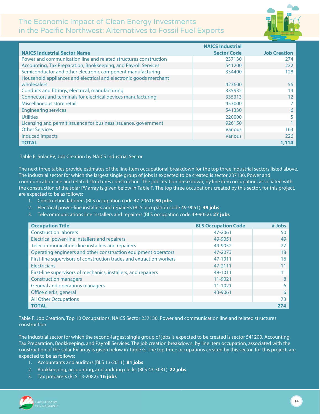

|                                                                   | <b>NAICS Industrial</b> |                     |
|-------------------------------------------------------------------|-------------------------|---------------------|
| <b>NAICS Industrial Sector Name</b>                               | <b>Sector Code</b>      | <b>Job Creation</b> |
| Power and communication line and related structures construction  | 237130                  | 274                 |
| Accounting, Tax Preparation, Bookkeeping, and Payroll Services    | 541200                  | 222                 |
| Semiconductor and other electronic component manufacturing        | 334400                  | 128                 |
| Household appliances and electrical and electronic goods merchant |                         |                     |
| wholesalers                                                       | 423600                  | 56                  |
| Conduits and fittings, electrical, manufacturing                  | 335932                  | 14                  |
| Connectors and terminals for electrical devices manufacturing     | 335313                  | 12                  |
| Miscellaneous store retail                                        | 453000                  | 7                   |
| <b>Engineering services</b>                                       | 541330                  | 6                   |
| <b>Utilities</b>                                                  | 220000                  | 5                   |
| Licensing and permit issuance for business issuance, government   | 926150                  |                     |
| <b>Other Services</b>                                             | <b>Various</b>          | 163                 |
| <b>Induced Impacts</b>                                            | <b>Various</b>          | 226                 |
| <b>TOTAL</b>                                                      |                         | 1,114               |

Table E. Solar PV, Job Creation by NAICS Industrial Sector

The next three tables provide estimates of the line-item occupational breakdown for the top three industrial sectors listed above. The industrial sector for which the largest single group of jobs is expected to be created is sector 237130, Power and communication line and related structures construction. The job creation breakdown, by line item occupation, associated with the construction of the solar PV array is given below in Table F. The top three occupations created by this sector, for this project, are expected to be as follows:

- 1. Construction laborers (BLS occupation code 47-2061): **50 jobs**
- 2. Electrical power-line installers and repairers (BLS occupation code 49-9051): **49 jobs**
- 3. Telecommunications line installers and repairers (BLS occupation code 49-9052): **27 jobs**

| <b>Occupation Title</b>                                              | <b>BLS Occupation Code</b> | # Jobs |
|----------------------------------------------------------------------|----------------------------|--------|
| <b>Construction laborers</b>                                         | 47-2061                    | 50     |
| Electrical power-line installers and repairers                       | 49-9051                    | 49     |
| Telecommunications line installers and repairers                     | 49-9052                    |        |
| Operating engineers and other construction equipment operators       | 47-2073                    | 18     |
| First-line supervisors of construction trades and extraction workers | 47-1011                    | 16     |
| Electricians                                                         | 47-2111                    |        |
| First-line supervisors of mechanics, installers, and repairers       | 49-1011                    |        |
| <b>Construction managers</b>                                         | 11-9021                    |        |
| General and operations managers                                      | $11 - 1021$                | 6      |
| Office clerks, general                                               | 43-9061                    | 6      |
| <b>All Other Occupations</b>                                         |                            |        |
| <b>TOTAL</b>                                                         |                            |        |

Table F. Job Creation, Top 10 Occupations: NAICS Sector 237130, Power and communication line and related structures construction

The industrial sector for which the second-largest single group of jobs is expected to be created is sector 541200, Accounting, Tax Preparation, Bookkeeping, and Payroll Services. The job creation breakdown, by line item occupation, associated with the construction of the solar PV array is given below in Table G. The top three occupations created by this sector, for this project, are expected to be as follows:

- 1. Accountants and auditors (BLS 13-2011): **81 jobs**
- 2. Bookkeeping, accounting, and auditing clerks (BLS 43-3031): **22 jobs**
- 3. Tax preparers (BLS 13-2082): **16 jobs**

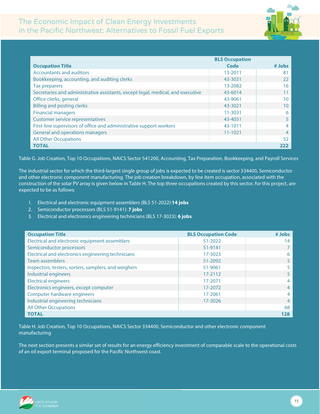

|                                                                                 | <b>BLS Occupation</b> |        |
|---------------------------------------------------------------------------------|-----------------------|--------|
| <b>Occupation Title</b>                                                         | Code                  | # Jobs |
| <b>Accountants and auditors</b>                                                 | 13-2011               | 81     |
| Bookkeeping, accounting, and auditing clerks                                    | 43-3031               | 22     |
| Tax preparers                                                                   | 13-2082               | 16     |
| Secretaries and administrative assistants, except legal, medical, and executive | 43-6014               |        |
| Office clerks, general                                                          | 43-9061               | 10     |
| <b>Billing and posting clerks</b>                                               | 43-3021               | 10     |
| <b>Financial managers</b>                                                       | 11-3031               | 6      |
| <b>Customer service representatives</b>                                         | 43-4051               |        |
| First-line supervisors of office and administrative support workers             | 43-1011               | 4      |
| General and operations managers                                                 | $11 - 1021$           | 4      |
| <b>All Other Occupations</b>                                                    |                       | 52     |
| <b>TOTAL</b>                                                                    |                       |        |

Table G. Job Creation, Top 10 Occupations, NAICS Sector 541200, Accounting, Tax Preparation, Bookkeeping, and Payroll Services

The industrial sector for which the third-largest single group of jobs is expected to be created is sector 334400, Semiconductor and other electronic component manufacturing. The job creation breakdown, by line item occupation, associated with the construction of the solar PV array is given below in Table H. The top three occupations created by this sector, for this project, are expected to be as follows:

- 1. Electrical and electronic equipment assemblers (BLS 51-2022):**14 jobs**
- 2. Semiconductor processors (BLS 51-9141): **7 jobs**
- 3. Electrical and electronics engineering technicians (BLS 17-3023): **6 jobs**

| <b>Occupation Title</b>                              | <b>BLS Occupation Code</b> | # Jobs |
|------------------------------------------------------|----------------------------|--------|
| Electrical and electronic equipment assemblers       | 51-2022                    | 14     |
| Semiconductor processors                             | 51-9141                    |        |
| Electrical and electronics engineering technicians   | 17-3023                    | 6      |
| <b>Team assemblers</b>                               | 51-2092                    | 5      |
| Inspectors, testers, sorters, samplers, and weighers | 51-9061                    |        |
| <b>Industrial engineers</b>                          | 17-2112                    | 5      |
| <b>Electrical engineers</b>                          | 17-2071                    | 4      |
| Electronics engineers, except computer               | 17-2072                    | 4      |
| Computer hardware engineers                          | 17-2061                    | 4      |
| Industrial engineering technicians                   | 17-3026                    | 4      |
| <b>All Other Occupations</b>                         |                            | 68     |
| <b>TOTAL</b>                                         |                            | 128    |

Table H. Job Creation, Top 10 Occupations, NAICS Sector 334400, Semiconductor and other electronic component manufacturing

The next section presents a similar set of results for an energy efficiency investment of comparable scale to the operational costs of an oil export terminal proposed for the Pacific Northwest coast.

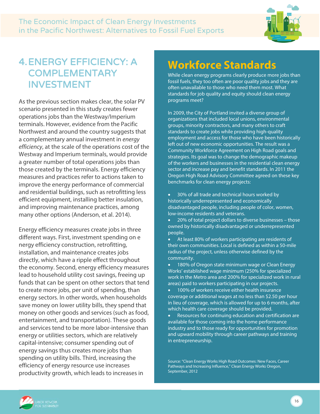

## <span id="page-16-0"></span>4.ENERGY EFFICIENCY: A **COMPLEMENTARY** INVESTMENT

As the previous section makes clear, the solar PV scenario presented in this study creates fewer operations jobs than the Westway/Imperium terminals. However, evidence from the Pacific Northwest and around the country suggests that a complementary annual investment in *energy efficiency*, at the scale of the operations cost of the Westway and Imperium terminals, would provide a greater number of total operations jobs than those created by the terminals. Energy efficiency measures and practices refer to actions taken to improve the energy performance of commercial and residential buildings, such as retrofitting less efficient equipment, installing better insulation, and improving maintenance practices, among many other options (Anderson, et al. 2014).

Energy efficiency measures create jobs in three different ways. First, investment spending on e nergy efficiency construction, retrofitting, installation, and maintenance creates jobs directly, which have a ripple effect throughout the economy. Second, energy efficiency measures lead to household utility cost savings, freeing up funds that can be spent on other sectors that tend to create more jobs, per unit of spending, than energy sectors. In other words, when households save money on lower utility bills, they spend that money on other goods and services (such as food, entertainment, and transportation). These goods and services tend to be more labor-intensive than energy or utilities sectors, which are relatively capital-intensive; consumer spending out of energy savings thus creates more jobs than spending on utility bills. Third, increasing the efficiency of energy resource use increases productivity growth, which leads to increases in

## **Workforce Standards**

While clean energy programs clearly produce more jobs than fossil fuels, they too often are poor quality jobs and they are often unavailable to those who need them most. What standards for job quality and equity should clean energy programs meet?

In 2009, the City of Portland invited a diverse group of organizations that included local unions, environmental groups, minority contractors, and many others to craft standards to create jobs while providing high-quality employment and access for those who have been historically left out of new economic opportunities. The result was a Community Workforce Agreement on High Road goals and strategies. Its goal was to change the demographic makeup of the workers and businesses in the residential clean energy sector and increase pay and benefit standards. In 2011 the Oregon High Road Advisory Committee agreed on these key benchmarks for clean energy projects:

- 30% of all trade and technical hours worked by historically underrepresented and economically disadvantaged people, including people of color, women, low-income residents and veterans.
- 20% of total project dollars to diverse businesses those owned by historically disadvantaged or underrepresented people.
- At least 80% of workers participating are residents of their own communities. Local is defined as within a 50-mile radius of the project, unless otherwise defined by the community.
- 180% of Oregon state minimum wage or Clean Energy Works' established wage minimum (250% for specialized work in the Metro area and 200% for specialized work in rural areas) paid to workers participating in our projects.
- 100% of workers receive either health insurance coverage or additional wages at no less than \$2.50 per hour in lieu of coverage, which is allowed for up to 6 months, after which health care coverage should be provided.
- Resources for continuing education and certification are available for those coming into the home performance industry and to those ready for opportunities for promotion and upward mobility through career pathways and training in entrepreneurship.



Source: "Clean Energy Works High Road Outcomes: New Faces, Career Pathways and Increasing Influence," Clean Energy Works Oregon, September, 2012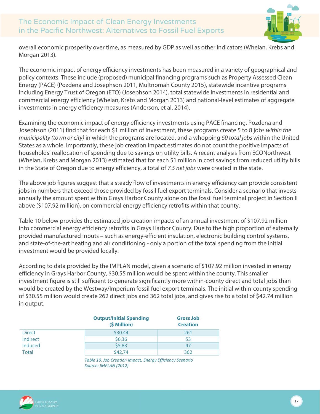

overall economic prosperity over time, as measured by GDP as well as other indicators (Whelan, Krebs and Morgan 2013).

The economic impact of energy efficiency investments has been measured in a variety of geographical and policy contexts. These include (proposed) municipal financing programs such as Property Assessed Clean Energy (PACE) (Pozdena and Josephson 2011, Multnomah County 2015), statewide incentive programs including Energy Trust of Oregon (ETO) (Josephson 2014), total statewide investments in residential and commercial energy efficiency (Whelan, Krebs and Morgan 2013) and national-level estimates of aggregate investments in energy efficiency measures (Anderson, et al. 2014).

Examining the economic impact of energy efficiency investments using PACE financing, Pozdena and Josephson (2011) find that for each \$1 million of investment, these programs create 5 to 8 jobs *within the municipality (town or city)* in which the programs are located, and a whopping *60 total jobs* within the United States as a whole. Importantly, these job creation impact estimates do not count the positive impacts of households' reallocation of spending due to savings on utility bills. A recent analysis from ECONorthwest (Whelan, Krebs and Morgan 2013) estimated that for each \$1 million in cost savings from reduced utility bills in the State of Oregon due to energy efficiency, a total of *7.5 net jobs* were created in the state.

The above job figures suggest that a steady flow of investments in energy efficiency can provide consistent jobs in numbers that exceed those provided by fossil fuel export terminals. Consider a scenario that invests annually the amount spent within Grays Harbor County alone on the fossil fuel terminal project in Section II above (\$107.92 million), on commercial energy efficiency retrofits within that county.

Table 10 below provides the estimated job creation impacts of an annual investment of \$107.92 million into commercial energy efficiency retrofits in Grays Harbor County. Due to the high proportion of externally provided manufactured inputs – such as energy-efficient insulation, electronic building control systems, and state-of-the-art heating and air conditioning - only a portion of the total spending from the initial investment would be provided locally.

According to data provided by the IMPLAN model, given a scenario of \$107.92 million invested in energy efficiency in Grays Harbor County, \$30.55 million would be spent within the county. This smaller investment figure is still sufficient to generate significantly more within-county direct and total jobs than would be created by the Westway/Imperium fossil fuel export terminals. The initial within-county spending of \$30.55 million would create 262 direct jobs and 362 total jobs, and gives rise to a total of \$42.74 million in output.

|               | <b>Output/Initial Spending</b><br>(\$ Million) | <b>Gross Job</b><br><b>Creation</b> |
|---------------|------------------------------------------------|-------------------------------------|
| <b>Direct</b> | \$30.44                                        | 261                                 |
| Indirect      | \$6.36                                         | 53                                  |
| Induced       | \$5.83                                         | 47                                  |
| <b>Total</b>  | \$42.74                                        | 362                                 |

*Table 10. Job Creation Impact, Energy Efficiency Scenario Source: IMPLAN (2012)*

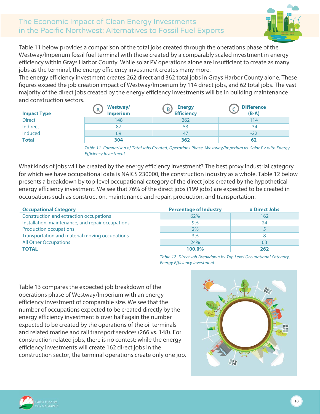

Table 11 below provides a comparison of the total jobs created through the operations phase of the Westway/Imperium fossil fuel terminal with those created by a comparably scaled investment in energy efficiency within Grays Harbor County. While solar PV operations alone are insufficient to create as many jobs as the terminal, the energy efficiency investment creates many more.

The energy efficiency investment creates 262 direct and 362 total jobs in Grays Harbor County alone. These figures exceed the job creation impact of Westway/Imperium by 114 direct jobs, and 62 total jobs. The vast majority of the direct jobs created by the energy efficiency investments will be in building maintenance and construction sectors.

| <b>Impact Type</b> | Westway/<br><b>Imperium</b> | <b>Energy</b><br>B,<br><b>Efficiency</b> | <b>Difference</b><br>$(B-A)$ |
|--------------------|-----------------------------|------------------------------------------|------------------------------|
| <b>Direct</b>      | 148                         | 262                                      | 114                          |
| Indirect           | 87                          | 53                                       | $-34$                        |
| Induced            | 69                          | 47                                       | $-22$                        |
| <b>Total</b>       | 304                         | 362                                      | 62                           |

*Table 11. Comparison of Total Jobs Created, Operations Phase, Westway/Imperium vs. Solar PV with Energy Efficiency Investment*

What kinds of jobs will be created by the energy efficiency investment? The best proxy industrial category for which we have occupational data is NAICS 230000, the construction industry as a whole. Table 12 below presents a breakdown by top-level occupational category of the direct jobs created by the hypothetical energy efficiency investment. We see that 76% of the direct jobs (199 jobs) are expected to be created in occupations such as construction, maintenance and repair, production, and transportation.

| <b>Occupational Category</b>                      | <b>Percentage of Industry</b> | # Direct Jobs |
|---------------------------------------------------|-------------------------------|---------------|
| Construction and extraction occupations           | 62%                           | 162           |
| Installation, maintenance, and repair occupations | 9%                            | 24            |
| <b>Production occupations</b>                     | 2%                            |               |
| Transportation and material moving occupations    | 3%                            |               |
| <b>All Other Occupations</b>                      | 24%                           | 63            |
| <b>TOTAL</b>                                      | 100.0%                        | 262           |

*Table 12. Direct Job Breakdown by Top Level Occupational Category, Energy Efficiency Investment*

Table 13 compares the expected job breakdown of the operations phase of Westway/Imperium with an energy efficiency investment of comparable size. We see that the number of occupations expected to be created directly by the energy efficiency investment is over half again the number expected to be created by the operations of the oil terminals and related marine and rail transport services (266 vs. 148). For construction related jobs, there is no contest: while the energy efficiency investments will create 162 direct jobs in the construction sector, the terminal operations create only one job.



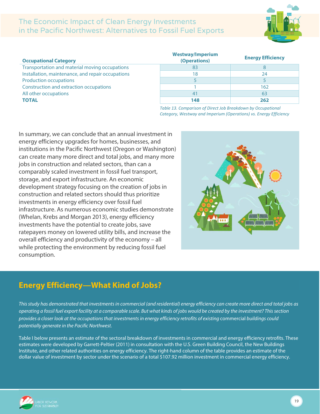

#### **Occupational Category Westway/Imperium (Operations) Energy Efficiency** Transportation and material moving occupations and the state of the state of the state of the state of the state of the state of the state of the state of the state of the state of the state of the state of the state of th Installation, maintenance, and repair occupations 18 18 18 24 Production occupations and the set of the set of the set of the set of the set of the set of the set of the set of the set of the set of the set of the set of the set of the set of the set of the set of the set of the set Construction and extraction occupations 1 162 All other occupations and the set of the set of the set of the set of the set of the set of the set of the set o **TOTAL 148 262**

*Table 13. Comparison of Direct Job Breakdown by Occupational Category, Westway and Imperium (Operations) vs. Energy Efficiency*

In summary, we can conclude that an annual investment in energy efficiency upgrades for homes, businesses, and institutions in the Pacific Northwest (Oregon or Washington) can create many more direct and total jobs, and many more jobs in construction and related sectors, than can a comparably scaled investment in fossil fuel transport, storage, and export infrastructure. An economic development strategy focusing on the creation of jobs in construction and related sectors should thus prioritize investments in energy efficiency over fossil fuel infrastructure. As numerous economic studies demonstrate (Whelan, Krebs and Morgan 2013), energy efficiency investments have the potential to create jobs, save ratepayers money on lowered utility bills, and increase the overall efficiency and productivity of the economy – all while protecting the environment by reducing fossil fuel consumption.



### <span id="page-19-0"></span>**Energy Efficiency—What Kind of Jobs?**

This study has demonstrated that investments in commercial (and residential) energy efficiency can create more direct and total jobs as operating a fossil fuel export facility at a comparable scale. But what kinds of jobs would be created by the investment? This section provides a closer look at the occupations that investments in energy efficiency retrofits of existing commercial buildings could *potentially generate in the Pacific Northwest.*

Table I below presents an estimate of the sectoral breakdown of investments in commercial and energy efficiency retrofits. These estimates were developed by Garrett-Peltier (2011) in consultation with the U.S. Green Building Council, the New Buildings Institute, and other related authorities on energy efficiency. The right-hand column of the table provides an estimate of the dollar value of investment by sector under the scenario of a total \$107.92 million investment in commercial energy efficiency.

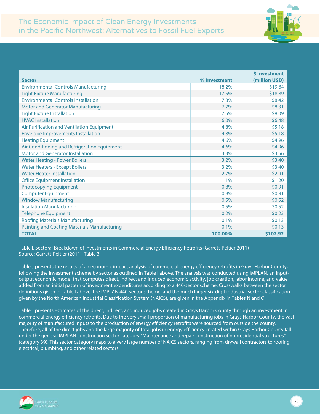

|                                                     |              | <b>\$Investment</b> |
|-----------------------------------------------------|--------------|---------------------|
| <b>Sector</b>                                       | % Investment | (million USD)       |
| <b>Environmental Controls Manufacturing</b>         | 18.2%        | \$19.64             |
| <b>Light Fixture Manufacturing</b>                  | 17.5%        | \$18.89             |
| <b>Environmental Controls Installation</b>          | 7.8%         | \$8.42              |
| <b>Motor and Generator Manufacturing</b>            | 7.7%         | \$8.31              |
| <b>Light Fixture Installation</b>                   | 7.5%         | \$8.09              |
| <b>HVAC</b> Installation                            | 6.0%         | \$6.48              |
| Air Purification and Ventilation Equipment          | 4.8%         | \$5.18              |
| <b>Envelope Improvements Installation</b>           | 4.8%         | \$5.18              |
| <b>Heating Equipment</b>                            | 4.6%         | \$4.96              |
| Air Conditioning and Refrigeration Equipment        | 4.6%         | \$4.96              |
| <b>Motor and Generator Installation</b>             | 3.3%         | \$3.56              |
| <b>Water Heating - Power Boilers</b>                | 3.2%         | \$3.40              |
| <b>Water Heaters - Except Boilers</b>               | 3.2%         | \$3.40              |
| <b>Water Heater Installation</b>                    | 2.7%         | \$2.91              |
| <b>Office Equipment Installation</b>                | 1.1%         | \$1.20              |
| <b>Photocopying Equipment</b>                       | 0.8%         | \$0.91              |
| <b>Computer Equipment</b>                           | 0.8%         | \$0.91              |
| <b>Window Manufacturing</b>                         | 0.5%         | \$0.52              |
| <b>Insulation Manufacturing</b>                     | 0.5%         | \$0.52              |
| <b>Telephone Equipment</b>                          | 0.2%         | \$0.23              |
| <b>Roofing Materials Manufacturing</b>              | 0.1%         | \$0.13              |
| <b>Painting and Coating Materials Manufacturing</b> | 0.1%         | \$0.13              |
| <b>TOTAL</b>                                        | 100.00%      | \$107.92            |

Table I. Sectoral Breakdown of Investments in Commercial Energy Efficiency Retrofits (Garrett-Peltier 2011) Source: Garrett-Peltier (2011), Table 3

Table J presents the results of an economic impact analysis of commercial energy efficiency retrofits in Grays Harbor County, following the investment scheme by sector as outlined in Table I above. The analysis was conducted using IMPLAN, an inputoutput economic model that computes direct, indirect and induced economic activity, job creation, labor income, and value added from an initial pattern of investment expenditures according to a 440-sector scheme. Crosswalks between the sector definitions given in Table I above, the IMPLAN 440-sector scheme, and the much larger six-digit industrial sector classification given by the North American Industrial Classification System (NAICS), are given in the Appendix in Tables N and O.

Table J presents estimates of the direct, indirect, and induced jobs created in Grays Harbor County through an investment in commercial energy efficiency retrofits. Due to the very small proportion of manufacturing jobs in Grays Harbor County, the vast majority of manufactured inputs to the production of energy efficiency retrofits were sourced from outside the county. Therefore, all of the direct jobs and the large majority of total jobs in energy efficiency created within Grays Harbor County fall under the general IMPLAN construction sector category "Maintenance and repair construction of nonresidential structures" (category 39). This sector category maps to a very large number of NAICS sectors, ranging from drywall contractors to roofing, electrical, plumbing, and other related sectors.

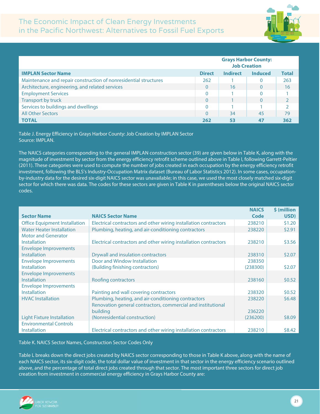

|                                                                  | <b>Grays Harbor County:</b><br><b>Job Creation</b> |                 |                |              |
|------------------------------------------------------------------|----------------------------------------------------|-----------------|----------------|--------------|
| <b>IMPLAN Sector Name</b>                                        | <b>Direct</b>                                      | <b>Indirect</b> | <b>Induced</b> | <b>Total</b> |
| Maintenance and repair construction of nonresidential structures | 262                                                |                 |                | 263          |
| Architecture, engineering, and related services                  | $\overline{0}$                                     | 16              | $\Omega$       | 16           |
| <b>Employment Services</b>                                       | 0                                                  |                 |                |              |
| Transport by truck                                               | $\overline{0}$                                     |                 | $\Omega$       |              |
| Services to buildings and dwellings                              | 0                                                  |                 |                |              |
| <b>All Other Sectors</b>                                         | $\overline{0}$                                     | 34              | 45             | 79           |
| <b>TOTAL</b>                                                     | 262                                                | 53              | 47             | 362          |

Table J. Energy Efficiency in Grays Harbor County: Job Creation by IMPLAN Sector Source: IMPLAN.

The NAICS categories corresponding to the general IMPLAN construction sector (39) are given below in Table K, along with the magnitude of investment by sector from the energy efficiency retrofit scheme outlined above in Table I, following Garrett-Peltier (2011). These categories were used to compute the number of jobs created in each occupation by the energy efficiency retrofit investment, following the BLS's Industry-Occupation Matrix dataset (Bureau of Labor Statistics 2012). In some cases, occupationby-industry data for the desired six-digit NAICS sector was unavailable; in this case, we used the most closely matched six-digit sector for which there was data. The codes for these sectors are given in Table K in parentheses below the original NAICS sector codes.

|                                      |                                                                  | <b>NAICS</b> | \$ (million |
|--------------------------------------|------------------------------------------------------------------|--------------|-------------|
| <b>Sector Name</b>                   | <b>NAICS Sector Name</b>                                         | Code         | USD)        |
| <b>Office Equipment Installation</b> | Electrical contractors and other wiring installation contractors | 238210       | \$1.20      |
| <b>Water Heater Installation</b>     | Plumbing, heating, and air-conditioning contractors              | 238220       | \$2.91      |
| <b>Motor and Generator</b>           |                                                                  |              |             |
| Installation                         | Electrical contractors and other wiring installation contractors | 238210       | \$3.56      |
| <b>Envelope Improvements</b>         |                                                                  |              |             |
| <b>Installation</b>                  | Drywall and insulation contractors                               | 238310       | \$2.07      |
| <b>Envelope Improvements</b>         | Door and Window Installation                                     | 238350       |             |
| <b>Installation</b>                  | (Building finishing contractors)                                 | (238300)     | \$2.07      |
| <b>Envelope Improvements</b>         |                                                                  |              |             |
| <b>Installation</b>                  | Roofing contractors                                              | 238160       | \$0.52      |
| <b>Envelope Improvements</b>         |                                                                  |              |             |
| <b>Installation</b>                  | Painting and wall covering contractors                           | 238320       | \$0.52      |
| <b>HVAC</b> Installation             | Plumbing, heating, and air-conditioning contractors              | 238220       | \$6.48      |
|                                      | Renovation general contractors, commercial and institutional     |              |             |
|                                      | building                                                         | 236220       |             |
| Light Fixture Installation           | (Nonresidential construction)                                    | (236200)     | \$8.09      |
| <b>Environmental Controls</b>        |                                                                  |              |             |
| <b>Installation</b>                  | Electrical contractors and other wiring installation contractors | 238210       | \$8.42      |

Table K. NAICS Sector Names, Construction Sector Codes Only

Table L breaks down the direct jobs created by NAICS sector corresponding to those in Table K above, along with the name of each NAICS sector, its six-digit code, the total dollar value of investment in that sector in the energy efficiency scenario outlined above, and the percentage of total direct jobs created through that sector. The most important three sectors for direct job creation from investment in commercial energy efficiency in Grays Harbor County are:

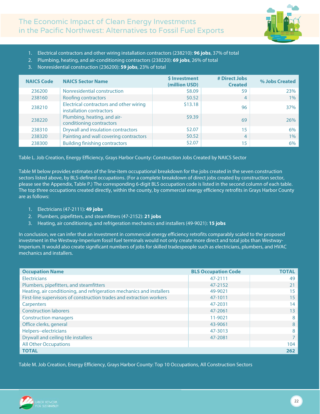

- 1. Electrical contractors and other wiring installation contractors (238210): **96 jobs**, 37% of total
- 2. Plumbing, heating, and air-conditioning contractors (238220): **69 jobs**, 26% of total
- 3. Nonresidential construction (236200): **59 jobs**, 23% of total

| <b>NAICS Code</b> | <b>NAICS Sector Name</b>                                            | \$ Investment<br>(million USD) | # Direct Jobs<br><b>Created</b> | % Jobs Created |
|-------------------|---------------------------------------------------------------------|--------------------------------|---------------------------------|----------------|
| 236200            | Nonresidential construction                                         | \$8.09                         | 59                              | 23%            |
| 238160            | <b>Roofing contractors</b>                                          | \$0.52                         | 4                               | $1\%$          |
| 238210            | Electrical contractors and other wiring<br>installation contractors | \$13.18                        | 96                              | 37%            |
| 238220            | Plumbing, heating, and air-<br>conditioning contractors             | \$9.39                         | 69                              | 26%            |
| 238310            | <b>Drywall and insulation contractors</b>                           | \$2.07                         | 15                              | 6%             |
| 238320            | Painting and wall covering contractors                              | \$0.52                         | $\overline{4}$                  | 1%             |
| 238300            | <b>Building finishing contractors</b>                               | \$2.07                         | 15                              | 6%             |

Table L. Job Creation, Energy Efficiency, Grays Harbor County: Construction Jobs Created by NAICS Sector

Table M below provides estimates of the line-item occupational breakdown for the jobs created in the seven construction sectors listed above, by BLS-defined occupations. (For a complete breakdown of direct jobs created by construction sector, please see the Appendix, Table P.) The corresponding 6-digit BLS occupation code is listed in the second column of each table. The top three occupations created directly, within the county, by commercial energy efficiency retrofits in Grays Harbor County are as follows:

- 1. Electricians (47-2111): **49 jobs**
- 2. Plumbers, pipefitters, and steamfitters (47-2152): **21 jobs**
- 3. Heating, air conditioning, and refrigeration mechanics and installers (49-9021): **15 jobs**

In conclusion, we can infer that an investment in commercial energy efficiency retrofits comparably scaled to the proposed investment in the Westway-Imperium fossil fuel terminals would not only create more direct and total jobs than Westway-Imperium. It would also create significant numbers of jobs for skilled tradespeople such as electricians, plumbers, and HVAC mechanics and installers.

| <b>Occupation Name</b>                                                | <b>BLS Occupation Code</b> | <b>TOTAL</b> |
|-----------------------------------------------------------------------|----------------------------|--------------|
| <b>Electricians</b>                                                   | 47-2111                    | 49           |
| Plumbers, pipefitters, and steamfitters                               | 47-2152                    | 21           |
| Heating, air conditioning, and refrigeration mechanics and installers | 49-9021                    | 15           |
| First-line supervisors of construction trades and extraction workers  | 47-1011                    | 15           |
| Carpenters                                                            | 47-2031                    | 14           |
| <b>Construction laborers</b>                                          | 47-2061                    | 13           |
| <b>Construction managers</b>                                          | 11-9021                    | 8            |
| Office clerks, general                                                | 43-9061                    | 8            |
| Helpers--electricians                                                 | 47-3013                    | 8            |
| Drywall and ceiling tile installers                                   | 47-2081                    |              |
| <b>All Other Occupations</b>                                          |                            | 104          |
| <b>TOTAL</b>                                                          |                            | 262          |

Table M. Job Creation, Energy Efficiency, Grays Harbor County: Top 10 Occupations, All Construction Sectors

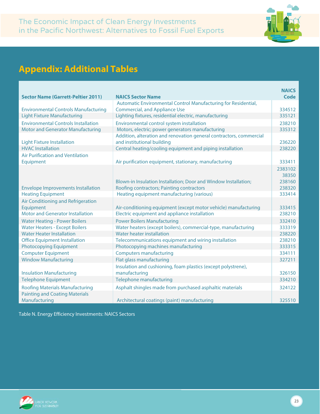

## **Appendix: Additional Tables**

|                                             |                                                                     | <b>NAICS</b> |  |  |
|---------------------------------------------|---------------------------------------------------------------------|--------------|--|--|
| <b>Sector Name (Garrett-Peltier 2011)</b>   | <b>NAICS Sector Name</b>                                            |              |  |  |
|                                             | Automatic Environmental Control Manufacturing for Residential,      |              |  |  |
| <b>Environmental Controls Manufacturing</b> | <b>Commercial, and Appliance Use</b>                                | 334512       |  |  |
| <b>Light Fixture Manufacturing</b>          | Lighting fixtures, residential electric, manufacturing              | 335121       |  |  |
| <b>Environmental Controls Installation</b>  | Environmental control system installation                           | 238210       |  |  |
| <b>Motor and Generator Manufacturing</b>    | Motors, electric; power generators manufacturing                    | 335312       |  |  |
|                                             | Addition, alteration and renovation general contractors, commercial |              |  |  |
| <b>Light Fixture Installation</b>           | and institutional building                                          | 236220       |  |  |
| <b>HVAC</b> Installation                    | Central heating/cooling equipment and piping installation           | 238220       |  |  |
| <b>Air Purification and Ventilation</b>     |                                                                     |              |  |  |
| Equipment                                   | Air purification equipment, stationary, manufacturing               | 333411       |  |  |
|                                             |                                                                     | 2383102      |  |  |
|                                             |                                                                     | 38350        |  |  |
|                                             | Blown-in Insulation Installation; Door and Window Installation;     | 238160       |  |  |
| <b>Envelope Improvements Installation</b>   | Roofing contractors; Painting contractors                           | 238320       |  |  |
| <b>Heating Equipment</b>                    | Heating equipment manufacturing (various)                           | 333414       |  |  |
| Air Conditioning and Refrigeration          |                                                                     |              |  |  |
| Equipment                                   | Air-conditioning equipment (except motor vehicle) manufacturing     | 333415       |  |  |
| <b>Motor and Generator Installation</b>     | Electric equipment and appliance installation                       | 238210       |  |  |
| <b>Water Heating - Power Boilers</b>        | <b>Power Boilers Manufacturing</b>                                  | 332410       |  |  |
| <b>Water Heaters - Except Boilers</b>       | Water heaters (except boilers), commercial-type, manufacturing      | 333319       |  |  |
| <b>Water Heater Installation</b>            | Water heater installation                                           | 238220       |  |  |
| <b>Office Equipment Installation</b>        | Telecommunications equipment and wiring installation                | 238210       |  |  |
| <b>Photocopying Equipment</b>               | Photocopying machines manufacturing                                 | 333315       |  |  |
| <b>Computer Equipment</b>                   | <b>Computers manufacturing</b>                                      | 334111       |  |  |
| <b>Window Manufacturing</b>                 | Flat glass manufacturing                                            | 327211       |  |  |
|                                             | Insulation and cushioning, foam plastics (except polystrene),       |              |  |  |
| <b>Insulation Manufacturing</b>             | manufacturing                                                       | 326150       |  |  |
| <b>Telephone Equipment</b>                  | Telephone manufacturing                                             | 334210       |  |  |
| <b>Roofing Materials Manufacturing</b>      | Asphalt shingles made from purchased asphaltic materials            | 324122       |  |  |
| <b>Painting and Coating Materials</b>       |                                                                     |              |  |  |
| Manufacturing                               | Architectural coatings (paint) manufacturing                        | 325510       |  |  |

Table N. Energy Efficiency Investments: NAICS Sectors

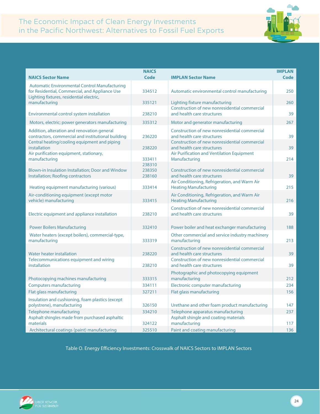

|                                                                                                                                                    | <b>NAICS</b>               |                                                                                                                              | <b>IMPLAN</b> |
|----------------------------------------------------------------------------------------------------------------------------------------------------|----------------------------|------------------------------------------------------------------------------------------------------------------------------|---------------|
| <b>NAICS Sector Name</b>                                                                                                                           | Code                       | <b>IMPLAN Sector Name</b>                                                                                                    | Code          |
| <b>Automatic Environmental Control Manufacturing</b><br>for Residential, Commercial, and Appliance Use<br>Lighting fixtures, residential electric, | 334512                     | Automatic environmental control manufacturing                                                                                | 250           |
| manufacturing                                                                                                                                      | 335121                     | Lighting fixture manufacturing<br>Construction of new nonresidential commercial                                              | 260           |
| Environmental control system installation                                                                                                          | 238210                     | and health care structures                                                                                                   | 39            |
| Motors, electric; power generators manufacturing                                                                                                   | 335312                     | Motor and generator manufacturing                                                                                            | 267           |
| Addition, alteration and renovation general<br>contractors, commercial and institutional building<br>Central heating/cooling equipment and piping  | 236220                     | Construction of new nonresidential commercial<br>and health care structures<br>Construction of new nonresidential commercial | 39            |
| installation                                                                                                                                       | 238220                     | and health care structures                                                                                                   | 39            |
| Air purification equipment, stationary,<br>manufacturing                                                                                           | 333411                     | Air Purification and Ventilation Equipment<br>Manufacturing                                                                  | 214           |
| Blown-in Insulation Installation; Door and Window<br><b>Installation; Roofing contractors</b>                                                      | 238310<br>238350<br>238160 | Construction of new nonresidential commercial<br>and health care structures                                                  | 39            |
| Heating equipment manufacturing (various)                                                                                                          | 333414                     | Air Conditioning, Refrigeration, and Warm Air<br><b>Heating Manufacturing</b>                                                | 215           |
| Air-conditioning equipment (except motor<br>vehicle) manufacturing                                                                                 | 333415                     | Air Conditioning, Refrigeration, and Warm Air<br><b>Heating Manufacturing</b>                                                | 216           |
| Electric equipment and appliance installation                                                                                                      | 238210                     | Construction of new nonresidential commercial<br>and health care structures                                                  | 39            |
| <b>Power Boilers Manufacturing</b>                                                                                                                 | 332410                     | Power boiler and heat exchanger manufacturing                                                                                | 188           |
| Water heaters (except boilers), commercial-type,<br>manufacturing                                                                                  | 333319                     | Other commercial and service industry machinery<br>manufacturing                                                             | 213           |
| Water heater installation                                                                                                                          | 238220                     | Construction of new nonresidential commercial<br>and health care structures                                                  | 39            |
| Telecommunications equipment and wiring<br>installation                                                                                            | 238210                     | Construction of new nonresidential commercial<br>and health care structures                                                  | 39            |
| Photocopying machines manufacturing                                                                                                                | 333315                     | Photographic and photocopying equipment<br>manufacturing                                                                     | 212           |
| <b>Computers manufacturing</b>                                                                                                                     | 334111                     | Electronic computer manufacturing                                                                                            | 234           |
| Flat glass manufacturing                                                                                                                           | 327211                     | Flat glass manufacturing                                                                                                     | 156           |
| Insulation and cushioning, foam plastics (except<br>polystrene), manufacturing                                                                     | 326150                     | Urethane and other foam product manufacturing                                                                                | 147           |
| Telephone manufacturing                                                                                                                            | 334210                     | Telephone apparatus manufacturing                                                                                            | 237           |
| Asphalt shingles made from purchased asphaltic<br>materials                                                                                        | 324122                     | Asphalt shingle and coating materials<br>manufacturing                                                                       | 117           |
| Architectural coatings (paint) manufacturing                                                                                                       | 325510                     | Paint and coating manufacturing                                                                                              | 136           |

Table O. Energy Efficiency Investments: Crosswalk of NAICS Sectors to IMPLAN Sectors

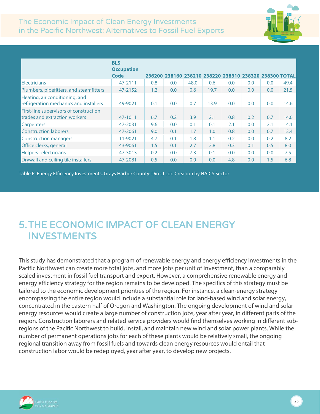

|                                                                          | <b>BLS</b><br><b>Occupation</b> |     |     |                                                        |      |     |     |     |      |
|--------------------------------------------------------------------------|---------------------------------|-----|-----|--------------------------------------------------------|------|-----|-----|-----|------|
|                                                                          | Code                            |     |     | 236200 238160 238210 238220 238310 238320 238300 TOTAL |      |     |     |     |      |
| <b>Electricians</b>                                                      | 47-2111                         | 0.8 | 0.0 | 48.0                                                   | 0.6  | 0.0 | 0.0 | 0.0 | 49.4 |
| Plumbers, pipefitters, and steamfitters                                  | 47-2152                         | 1.2 | 0.0 | 0.6                                                    | 19.7 | 0.0 | 0.0 | 0.0 | 21.5 |
| Heating, air conditioning, and<br>refrigeration mechanics and installers | 49-9021                         | 0.1 | 0.0 | 0.7                                                    | 13.9 | 0.0 | 0.0 | 0.0 | 14.6 |
| First-line supervisors of construction<br>trades and extraction workers  | 47-1011                         | 6.7 | 0.2 | 3.9                                                    | 2.1  | 0.8 | 0.2 | 0.7 | 14.6 |
| <b>Carpenters</b>                                                        | 47-2031                         | 9.6 | 0.0 | 0.1                                                    | 0.1  | 2.1 | 0.0 | 2.1 | 14.1 |
| <b>Construction laborers</b>                                             | 47-2061                         | 9.0 | 0.1 | 1.7                                                    | 1.0  | 0.8 | 0.0 | 0.7 | 13.4 |
| Construction managers                                                    | 11-9021                         | 4.7 | 0.1 | 1.8                                                    | 1.1  | 0.2 | 0.0 | 0.2 | 8.2  |
| Office clerks, general                                                   | 43-9061                         | 1.5 | 0.1 | 2.7                                                    | 2.8  | 0.3 | 0.1 | 0.5 | 8.0  |
| Helpers--electricians                                                    | 47-3013                         | 0.2 | 0.0 | 7.3                                                    | 0.1  | 0.0 | 0.0 | 0.0 | 7.5  |
| Drywall and ceiling tile installers                                      | 47-2081                         | 0.5 | 0.0 | 0.0                                                    | 0.0  | 4.8 | 0.0 | 1.5 | 6.8  |

Table P. Energy Efficiency Investments, Grays Harbor County: Direct Job Creation by NAICS Sector

## <span id="page-25-0"></span>5.THE ECONOMIC IMPACT OF CLEAN ENERGY INVESTMENTS

This study has demonstrated that a program of renewable energy and energy efficiency investments in the Pacific Northwest can create more total jobs, and more jobs per unit of investment, than a comparably scaled investment in fossil fuel transport and export. However, a comprehensive renewable energy and energy efficiency strategy for the region remains to be developed. The specifics of this strategy must be tailored to the economic development priorities of the region. For instance, a clean-energy strategy encompassing the entire region would include a substantial role for land-based wind and solar energy, concentrated in the eastern half of Oregon and Washington. The ongoing development of wind and solar energy resources would create a large number of construction jobs, year after year, in different parts of the region. Construction laborers and related service providers would find themselves working in different subregions of the Pacific Northwest to build, install, and maintain new wind and solar power plants. While the number of permanent operations jobs for each of these plants would be relatively small, the ongoing regional transition away from fossil fuels and towards clean energy resources would entail that construction labor would be redeployed, year after year, to develop new projects.

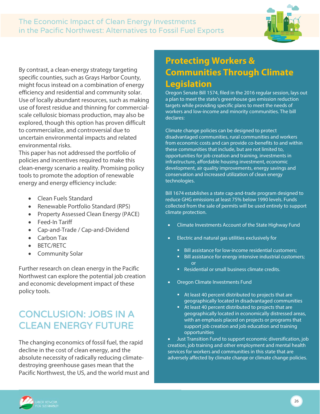

<span id="page-26-0"></span>By contrast, a clean-energy strategy targeting specific counties, such as Grays Harbor County, might focus instead on a combination of energy efficiency and residential and community solar. Use of locally abundant resources, such as making use of forest residue and thinning for commercialscale cellulosic biomass production, may also be explored, though this option has proven difficult to commercialize, and controversial due to uncertain environmental impacts and related environmental risks.

This paper has not addressed the portfolio of policies and incentives required to make this clean-energy scenario a reality. Promising policy tools to promote the adoption of renewable energy and energy efficiency include:

- Clean Fuels Standard
- Renewable Portfolio Standard (RPS)
- Property Assessed Clean Energy (PACE)
- Feed-In Tariff
- Cap-and-Trade / Cap-and-Dividend
- Carbon Tax
- BETC/RETC
- Community Solar

Further research on clean energy in the Pacific Northwest can explore the potential job creation and economic development impact of these policy tools.

## <span id="page-26-1"></span>CONCLUSION: JOBS IN A CLEAN ENERGY FUTURE

The changing economics of fossil fuel, the rapid decline in the cost of clean energy, and the absolute necessity of radically reducing climatedestroying greenhouse gases mean that the Pacific Northwest, the US, and the world must and

## **Protecting Workers & Communities Through Climate Legislation**

Oregon Senate Bill 1574, filed in the 2016 regular session, lays out a plan to meet the state's greenhouse gas emission reduction targets while providing specific plans to meet the needs of workers and low-income and minority communities. The bill declares:

Climate change policies can be designed to protect disadvantaged communities, rural communities and workers from economic costs and can provide co-benefits to and within these communities that include, but are not limited to, opportunities for job creation and training, investments in infrastructure, affordable housing investment, economic development, air quality improvements, energy savings and conservation and increased utilization of clean energy technologies.

Bill 1674 establishes a state cap-and-trade program designed to reduce GHG emissions at least 75% below 1990 levels. Funds collected from the sale of permits will be used entirely to support climate protection.

- Climate Investments Account of the State Highway Fund
- Electric and natural gas utilities exclusively for
	- Bill assistance for low-income residential customers;
	- Bill assistance for energy intensive industrial customers; or
	- Residential or small business climate credits.
- Oregon Climate Investments Fund
	- At least 40 percent distributed to projects that are geographically located in disadvantaged communities
	- At least 40 percent distributed to projects that are geographically located in economically distressed areas, with an emphasis placed on projects or programs that support job creation and job education and training opportunities

• Just Transition Fund to support economic diversification, job creation, job training and other employment and mental health services for workers and communities in this state that are adversely affected by climate change or climate change policies.

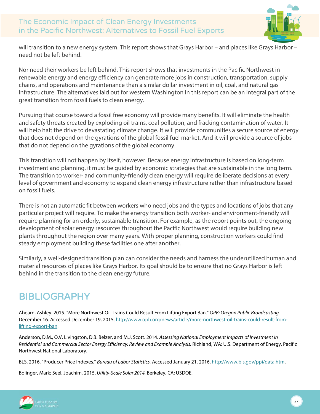

will transition to a new energy system. This report shows that Grays Harbor – and places like Grays Harbor – need not be left behind.

Nor need their workers be left behind. This report shows that investments in the Pacific Northwest in renewable energy and energy efficiency can generate more jobs in construction, transportation, supply chains, and operations and maintenance than a similar dollar investment in oil, coal, and natural gas infrastructure. The alternatives laid out for western Washington in this report can be an integral part of the great transition from fossil fuels to clean energy.

Pursuing that course toward a fossil free economy will provide many benefits. It will eliminate the health and safety threats created by exploding oil trains, coal pollution, and fracking contamination of water. It will help halt the drive to devastating climate change. It will provide communities a secure source of energy that does not depend on the gyrations of the global fossil fuel market. And it will provide a source of jobs that do not depend on the gyrations of the global economy.

This transition will not happen by itself, however. Because energy infrastructure is based on long-term investment and planning, it must be guided by economic strategies that are sustainable in the long term. The transition to worker- and community-friendly clean energy will require deliberate decisions at every level of government and economy to expand clean energy infrastructure rather than infrastructure based on fossil fuels.

There is not an automatic fit between workers who need jobs and the types and locations of jobs that any particular project will require. To make the energy transition both worker- and environment-friendly will require planning for an orderly, sustainable transition. For example, as the report points out, the ongoing development of solar energy resources throughout the Pacific Northwest would require building new plants throughout the region over many years. With proper planning, construction workers could find steady employment building these facilities one after another.

Similarly, a well-designed transition plan can consider the needs and harness the underutilized human and material resources of places like Grays Harbor. Its goal should be to ensure that no Grays Harbor is left behind in the transition to the clean energy future.

## <span id="page-27-0"></span>**BIBLIOGRAPHY**

Ahearn, Ashley. 2015. "More Northwest Oil Trains Could Result From Lifting Export Ban." *OPB: Oregon Public Broadcasting.* December 16. Accessed December 19, 2015[. http://www.opb.org/news/article/more-northwest-oil-trains-could-result-from](http://www.opb.org/news/article/more-northwest-oil-trains-could-result-from-lifting-export-ban)[lifting-export-ban.](http://www.opb.org/news/article/more-northwest-oil-trains-could-result-from-lifting-export-ban)

Anderson, D.M., O.V. Livingston, D.B. Belzer, and M.J. Scott. 2014. *Assessing National Employment Impacts of Investment in Residential and Commercial Sector Energy Efficiency: Review and Example Analysis.* Richland, WA: U.S. Department of Energy, Pacific Northwest National Laboratory.

BLS. 2016. "Producer Price Indexes." *Bureau of Labor Statistics.* Accessed January 21, 2016[. http://www.bls.gov/ppi/data.htm.](http://www.bls.gov/ppi/data.htm) 

Bolinger, Mark; Seel, Joachim. 2015. *Utility-Scale Solar 2014.* Berkeley, CA: USDOE.



27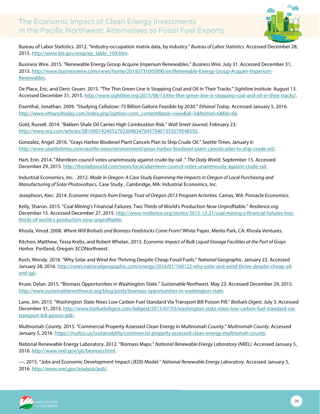

Bureau of Labor Statistics. 2012. "Industry-occupation matrix data, by industry." *Bureau of Labor Statistics.* Accessed December 28, 2015[. http://www.bls.gov/emp/ep\\_table\\_109.htm.](http://www.bls.gov/emp/ep_table_109.htm)

Business Wire. 2015. "Renewable Energy Group Acquire Imperium Renewables." *Business Wire.* July 31. Accessed December 31, 2015[. http://www.businesswire.com/news/home/20150731005890/en/Renewable-Energy-Group-Acquire-Imperium-](http://www.businesswire.com/news/home/20150731005890/en/Renewable-Energy-Group-Acquire-Imperium-Renewables)[Renewables.](http://www.businesswire.com/news/home/20150731005890/en/Renewable-Energy-Group-Acquire-Imperium-Renewables)

De Place, Eric, and Deric Gruen. 2015. "The Thin Green Line Is Stopping Coal and Oil In Their Tracks." *Sightline Institute.* August 13. Accessed December 31, 2015[. http://www.sightline.org/2015/08/13/the-thin-green-line-is-stopping-coal-and-oil-in-their-tracks/.](http://www.sightline.org/2015/08/13/the-thin-green-line-is-stopping-coal-and-oil-in-their-tracks/) 

Eisenthal, Jonathan. 2009. "Studying Cellulose: 75 Billion Gallons Feasible by 2030." *Ethanol Today.* Accessed January 5, 2016. http://www.ethanoltoday.com/index.php?option=com\_content&task=view&id=5&Itemid=6&fid=66.

Gold, Russell. 2014. "Bakken Shale Oil Carries High Combustion Risk." *Wall Street Journal*, February 23: [http://www.wsj.com/articles/SB10001424052702304834704579401353579548592.](http://www.wsj.com/articles/SB10001424052702304834704579401353579548592)

Gonzalez, Angel. 2016. "Grays Harbor Biodiesel Plant Cancels Plan to Ship Crude Oil." *Seattle Times*, January 6: [http://www.seattletimes.com/seattle-news/environment/grays-harbor-biodiesel-plant-cancels-plan-to-ship-crude-oil/.](http://www.seattletimes.com/seattle-news/environment/grays-harbor-biodiesel-plant-cancels-plan-to-ship-crude-oil/)

Hart, Erin. 2014. "Aberdeen council votes unanimously against crude-by-rail ." *The Daily World.* September 15. Accessed December 29, 2015[. http://thedailyworld.com/news/local/aberdeen-council-votes-unanimously-against-crude-rail.](http://thedailyworld.com/news/local/aberdeen-council-votes-unanimously-against-crude-rail) 

Industrial Economics, Inc. . 2012. *Made in Oregon: A Case Study Examining the Impacts in Oregon of Local Purchasing and Manufacturing of Solar Photovoltaics.* Case Study , Cambridge, MA: Industrial Economics, Inc.

Josephson, Alec. 2014. *Economic Impacts from Energy Trust of Oregon 2013 Program Activities.* Camas, WA: Pinnacle Economics.

Kelly, Sharon. 2015. "Coal Mining's Financial Failures: Two Thirds of World's Production Now Unprofitable." *Resilience.org.* December 15. Accessed December 27, 2015[. http://www.resilience.org/stories/2015-12-21/coal-mining-s-financial-failures-two](http://www.resilience.org/stories/2015-12-21/coal-mining-s-financial-failures-two-thirds-of-world-s-production-now-unprofitable)[thirds-of-world-s-production-now-unprofitable.](http://www.resilience.org/stories/2015-12-21/coal-mining-s-financial-failures-two-thirds-of-world-s-production-now-unprofitable)

Khosla, Vinod. 2008. *Where Will Biofuels and Biomass Feedstocks Come From?* White Paper, Menlo Park, CA: Khosla Ventures.

Kitchen, Matthew, Tessa Krebs, and Robert Whelan. 2013. *Economic Impact of Bulk Liquid Storage Facilities at the Port of Grays Harbor.* Portland, Oregon: ECONorthwest.

Koch, Wendy. 2016. "Why Solar and Wind Are Thriving Despite Cheap Fossil Fuels." *National Geographic.* January 22. Accessed January 28, 2016[. http://news.nationalgeographic.com/energy/2016/01/160122-why-solar-and-wind-thrive-despite-cheap-oil](http://news.nationalgeographic.com/energy/2016/01/160122-why-solar-and-wind-thrive-despite-cheap-oil-and-ga/)[and-ga/.](http://news.nationalgeographic.com/energy/2016/01/160122-why-solar-and-wind-thrive-despite-cheap-oil-and-ga/) 

Kruse, Dylan. 2015. "Biomass Opportunities in Washington State." *Sustainable Northwest.* May 23. Accessed December 29, 2015. [http://www.sustainablenorthwest.org/blog/posts/biomass-opportunities-in-washington-state.](http://www.sustainablenorthwest.org/blog/posts/biomass-opportunities-in-washington-state)

Lane, Jim. 2015. "Washington State Nixes Low Carbon Fuel Standard Via Transport Bill Poison Pill." *Biofuels Digest.* July 3. Accessed December 31, 2015[. http://www.biofuelsdigest.com/bdigest/2015/07/03/washington-state-nixes-low-carbon-fuel-standard-via](http://www.biofuelsdigest.com/bdigest/2015/07/03/washington-state-nixes-low-carbon-fuel-standard-via-transport-bill-poison-pill/)[transport-bill-poison-pill/.](http://www.biofuelsdigest.com/bdigest/2015/07/03/washington-state-nixes-low-carbon-fuel-standard-via-transport-bill-poison-pill/) 

Multnomah County. 2015. "Commercial Property Assessed Clean Energy in Multnomah County." *Multnomah County.* Accessed January 5, 2016[. https://multco.us/sustainability/commercial-property-assessed-clean-energy-multnomah-county.](https://multco.us/sustainability/commercial-property-assessed-clean-energy-multnomah-county)

National Renewable Energy Laboratory. 2012. "Biomass Maps." *National Renewable Energy Laboratory (NREL).* Accessed January 5, 2016[. http://www.nrel.gov/gis/biomass.html.](http://www.nrel.gov/gis/biomass.html) 

—. 2015. "Jobs and Economic Development Impact (JEDI) Model." *National Renewable Energy Laboratory.* Accessed January 5, 2016[. http://www.nrel.gov/analysis/jedi/.](http://www.nrel.gov/analysis/jedi/)



28